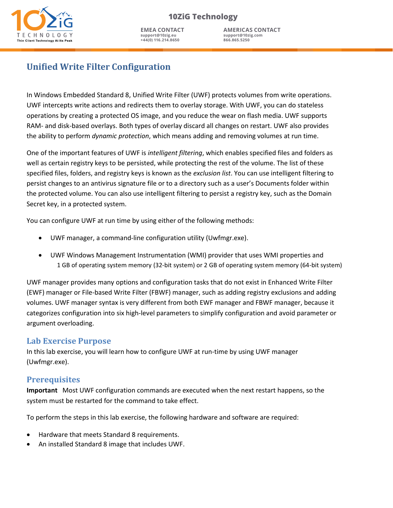

**AMERICAS CONTACT support@10zig.com 866.865.5250**

# **Unified Write Filter Configuration**

In Windows Embedded Standard 8, Unified Write Filter (UWF) protects volumes from write operations. UWF intercepts write actions and redirects them to overlay storage. With UWF, you can do stateless operations by creating a protected OS image, and you reduce the wear on flash media. UWF supports RAM- and disk-based overlays. Both types of overlay discard all changes on restart. UWF also provides the ability to perform *dynamic protection,* which means adding and removing volumes at run time.

One of the important features of UWF is *intelligent filtering*, which enables specified files and folders as well as certain registry keys to be persisted, while protecting the rest of the volume. The list of these specified files, folders, and registry keys is known as the *exclusion list*. You can use intelligent filtering to indersist changes to an antivirus signature file or to a directory such as a user's Documents folder within persist shanges to an antimulas signature mo or to a alreader, sach as a assisting to securence relation mumi-<br>the protected volume. You can also use intelligent filtering to persist a registry key, such as the Domain Secret key, in a protected system. configure yourself you can also use intelligent intering to persist a registry key, such as the Bomann

You can configure UWF at run time by using either of the following methods:

- UWF manager, a command-line configuration utility (Uwfmgr.exe).
	- UWF Windows Management Instrumentation (WMI) provider that uses WMI properties and 1 GB of operating system memory (32-bit system) or 2 GB of operating system memory (64-bit system)

UWF manager provides many options and configuration tasks that do not exist in Enhanced Write Filter (EWF) manager or File-based Write Filter (FBWF) manager, such as adding registry exclusions and adding volumes. UWF manager syntax is very different from both EWF manager and FBWF manager, because it categorizes configuration into six high-level parameters to simplify configuration and avoid parameter or argument overloading. The computer or device must meet or exceed the following requirements:

#### **Lab Exercise Purpose Exercise of the following operations**

In this lab exercise, you will learn how to configure UWF at run-time by using UWF manager (Uwfmgr.exe).

## **Prerequisites**

Important Most UWF configuration commands are executed when the next restart happens, so the system must be restarted for the command to take effect.

To perform the steps in this lab exercise, the following hardware and software are required:

- Hardware that meets Standard 8 requirements.
- An installed Standard 8 image that includes UWF.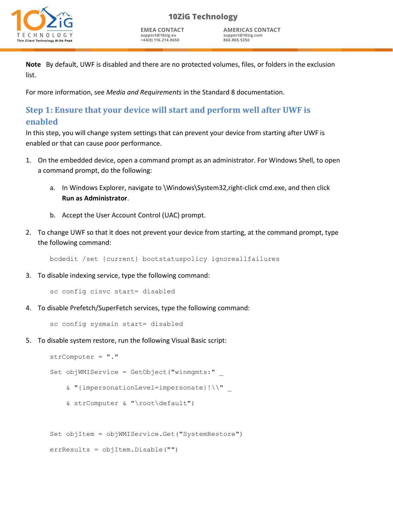# H N hin Client Technology At Its I

**10ZiG Technology**

**EMEA CONTACT support@10zig.eu +44(0) 116.214.8650**

**AMERICAS CONTACT support@10zig.com 866.865.5250**

**Note** By default, UWF is disabled and there are no protected volumes, files, or folders in the exclusion list.

For more information, see *Media and Requirements* in the Standard 8 documentation.

# **Step 1: Ensure that your device will start and perform well after UWF is enabled**

In this step, you will change system settings that can prevent your device from starting after UWF is enabled or that can cause poor performance.

- 1. On the embedded device, open a command prompt as an administrator. For Windows Shell, to open a command prompt, do the following:
	- a. In Windows Explorer, navigate to \Windows\System32,right-click cmd.exe, and then click **Run as Administrator**.
	- b. Accept the User Account Control (UAC) prompt.
- 2. To change UWF so that it does not prevent your device from starting, at the command prompt, type the following command:

bcdedit /set {current} bootstatuspolicy ignoreallfailures

3. To disable indexing service, type the following command:

sc config cisvc start= disabled

4. To disable Prefetch/SuperFetch services, type the following command:

sc config sysmain start= disabled

5. To disable system restore, run the following Visual Basic script:

```
strComputer = "."
Set objWMIService = GetObject("winmgmts:"
    & "{impersonationLevel=impersonate}!\\" _ 
    & strComputer & "\root\default")
Set objItem = objWMIService.Get("SystemRestore")
```

```
errResults = objItem.Disable("")
```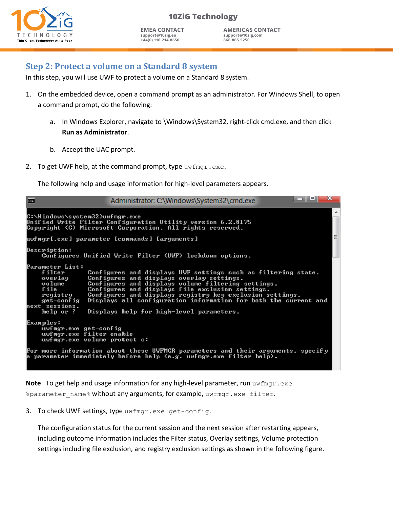

**EMEA CONTACT support@10zig.eu +44(0) 116.214.8650**

**AMERICAS CONTACT support@10zig.com 866.865.5250**

# **Step 2: Protect a volume on a Standard 8 system**

In this step, you will use UWF to protect a volume on a Standard 8 system.

- 1. On the embedded device, open a command prompt as an administrator. For Windows Shell, to open a command prompt, do the following:
	- a. In Windows Explorer, navigate to \Windows\System32, right-click cmd.exe, and then click **Run as Administrator**.
	- b. Accept the UAC prompt.
- 2. To get UWF help, at the command prompt, type  $\text{uwfmgr.exe.}$

The following help and usage information for high-level parameters appears.

| 蔮                                                                                                               | Administrator: C:\Windows\System32\cmd.exe                                                                                                                                                                                                                                                                                                                                                      | ж |
|-----------------------------------------------------------------------------------------------------------------|-------------------------------------------------------------------------------------------------------------------------------------------------------------------------------------------------------------------------------------------------------------------------------------------------------------------------------------------------------------------------------------------------|---|
| C:\Windows\system32>uwfmgr.exe                                                                                  | Unified Write Filter Configuration Utility version 6.2.8175<br>Copyright (C) Microsoft Corporation. All rights reserved.                                                                                                                                                                                                                                                                        |   |
|                                                                                                                 | wfmgr[.exe] parameter [commands] [arguments]                                                                                                                                                                                                                                                                                                                                                    | E |
| Description:                                                                                                    | Configures Unified Write Filter (UWF) lockdown options.                                                                                                                                                                                                                                                                                                                                         |   |
| Parameter List:<br>filter<br>overlay<br>volume<br>file<br>registry<br>get-config<br>hext sessions.<br>help or ? | Configures and displays UWF settings such as filtering state.<br>Configures and displays overlay settings.<br>Configures and displays volume filtering settings.<br>Configures and displays file exclusion settings.<br>Configures and displays registry key exclusion settings.<br>Displays all configuration information for both the current and<br>Displays help for high-level parameters. |   |
| Examples:<br>$uvf$ mgr.exe get-config<br>uwfmgr.exe filter enable<br>uwfmgr.exe volume protect c:               |                                                                                                                                                                                                                                                                                                                                                                                                 |   |
|                                                                                                                 | For more information about these UWFMGR parameters and their arguments, specify<br>a parameter immediately before help (e.g. uwfmgr.exe filter help).                                                                                                                                                                                                                                           |   |

**Note** To get help and usage information for any high-level parameter, run uwfmgr.exe %parameter name% without any arguments, for example, uwfmgr.exe filter.

3. To check UWF settings, type uwfmgr.exe get-config.

The configuration status for the current session and the next session after restarting appears, including outcome information includes the Filter status, Overlay settings, Volume protection settings including file exclusion, and registry exclusion settings as shown in the following figure.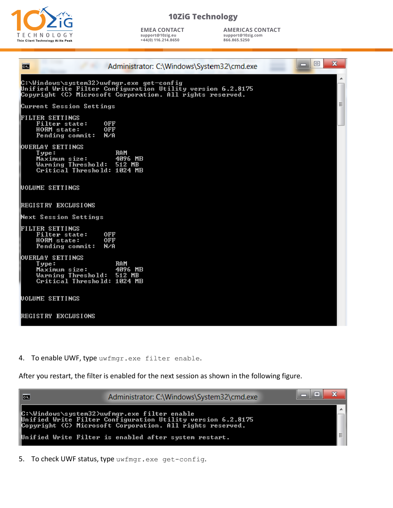

**EMEA CONTACT support@10zig.eu +44(0) 116.214.8650**

**AMERICAS CONTACT support@10zig.com 866.865.5250**

| 回<br>х<br>Administrator: C:\Windows\System32\cmd.exe<br>œ                                                                                                             |  |
|-----------------------------------------------------------------------------------------------------------------------------------------------------------------------|--|
| C:\Windows\system32>uwfmgr.exe get-config<br>Unified Write Filter Configuration Utility version 6.2.8175<br>Copyright (C) Microsoft Corporation. All rights reserved. |  |
| Ξ<br>Current Session Settings                                                                                                                                         |  |
| <b>FILTER SETTINGS</b><br>Filter state:<br>0FF<br><b>HORM</b> state:<br><b>OFF</b><br>N/A<br>Pending commit:                                                          |  |
| <b>WUERLAY SETTINGS</b><br>RAM<br>$I$ ype :<br>4096 MB<br>Maximum size:<br>Warning Threshold:<br>512 MB<br>Critical Threshold: 1024 MB                                |  |
| <b>NOLUME SETTINGS</b>                                                                                                                                                |  |
| <b>IREGISTRY EXCLUSIONS</b>                                                                                                                                           |  |
| Next Session Settings                                                                                                                                                 |  |
| <b>FILTER SETTINGS</b><br><b>Filter state:</b><br><b>OFF</b><br>HORM state:<br><b>OFF</b><br>Pending commit:<br>N/A                                                   |  |
| OUERLAY SETTINGS<br><b>RAM</b><br>Type:<br>Maximum size:<br>4096 MB<br>Warning Threshold:<br>512 MB<br>Critical Threshold: 1024 MB                                    |  |
| <b>UOLUME SETTINGS</b>                                                                                                                                                |  |
| REGISTRY EXCLUSIONS                                                                                                                                                   |  |

4. To enable UWF, type uwfmgr.exe filter enable.

After you restart, the filter is enabled for the next session as shown in the following figure.



5. To check UWF status, type uwfmgr.exe get-config.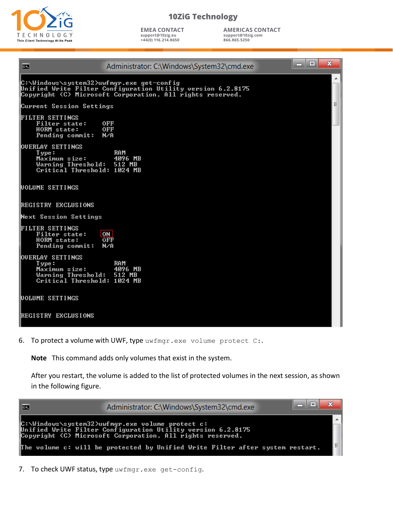

**EMEA CONTACT support@10zig.eu +44(0) 116.214.8650**

**AMERICAS CONTACT support@10zig.com 866.865.5250**

| C:N                                                                                                           | Administrator: C:\Windows\System32\cmd.exe                                                                               | 回<br>$\Box$ | $\mathbf{x}$ |
|---------------------------------------------------------------------------------------------------------------|--------------------------------------------------------------------------------------------------------------------------|-------------|--------------|
| C:\Windows\system32>uwfmgr.exe get-config                                                                     | Unified Write Filter Configuration Utility version 6.2.8175<br>Copyright (C) Microsoft Corporation. All rights reserved. |             | ۰            |
| Current Session Settings                                                                                      |                                                                                                                          |             | Ξ            |
| <b>FILTER SETTINGS</b><br>Filter state:<br><b>HORM</b> state:<br>Pending commit:                              | 0FF<br><b>OFF</b><br>N/A                                                                                                 |             |              |
| <b>OUERLAY SETTINGS</b><br>Type:<br>Maximum size:<br>Warning Threshold: 512 MB<br>Critical Threshold: 1024 MB | <b>RAM</b><br>4096 MB                                                                                                    |             |              |
| <b>NOLUME SETTINGS</b>                                                                                        |                                                                                                                          |             |              |
| REGISTRY EXCLUSIONS                                                                                           |                                                                                                                          |             |              |
| Next Session Settings                                                                                         |                                                                                                                          |             |              |
| FILTER SETTINGS<br>Filter state:<br><b>HORM</b> state:<br>Pending commit:                                     | <b>ON</b><br><b>OFF</b><br>N∕A                                                                                           |             |              |
| <b>OUERLAY SETTINGS</b><br>Type:<br>Maximum size:<br>Warning Threshold:<br>Critical Threshold: 1024 MB        | <b>RAM</b><br>4096 MB<br>512 MB                                                                                          |             |              |
| UOLUME SETTINGS                                                                                               |                                                                                                                          |             |              |
| <b>REGISTRY EXCLUSIONS</b>                                                                                    |                                                                                                                          |             |              |

6. To protect a volume with UWF, type uwfmgr.exe volume protect C:.

**Note** This command adds only volumes that exist in the system.

After you restart, the volume is added to the list of protected volumes in the next session, as shown in the following figure.



7. To check UWF status, type uwfmgr.exe get-config.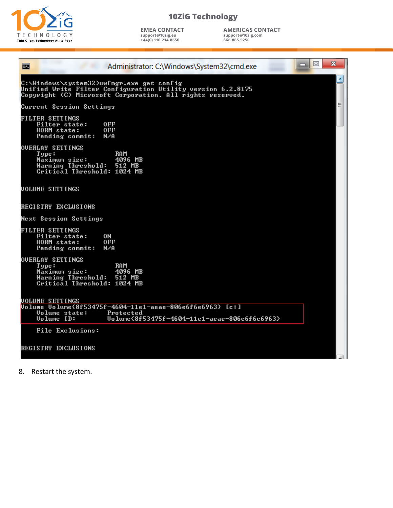

**EMEA CONTACT support@10zig.eu +44(0) 116.214.8650**

**AMERICAS CONTACT support@10zig.com 866.865.5250**

| Administrator: C:\Windows\System32\cmd.exe<br>œ                                                                                                                       | $\mathbf{x}$<br>回 |
|-----------------------------------------------------------------------------------------------------------------------------------------------------------------------|-------------------|
| C:\Windows\system32>uwfmgr.exe get-config<br>Unified Write Filter Configuration Utility version 6.2.8175<br>Copyright (C) Microsoft Corporation. All rights reserved. |                   |
| Current Session Settings                                                                                                                                              |                   |
| <b>FILTER SETTINGS</b><br>Filter state:<br>0FF<br><b>HORM</b> state:<br>0FF<br>Pending commit:<br>N∕A                                                                 |                   |
| <b>OUERLAY SETTINGS</b><br>RAM<br>Type:<br>Maximum size:<br>4096 MB<br>Warning Threshold: 512 MB<br>Critical Threshold: 1024 MB                                       |                   |
| <b>UOLUME SETTINGS</b>                                                                                                                                                |                   |
| REGISTRY EXCLUSIONS                                                                                                                                                   |                   |
| Next Session Settings                                                                                                                                                 |                   |
| <b>FILTER SETTINGS</b><br>Filter state:<br>0N<br>HORM state:<br>0FF<br>Pending commit:<br>N∕A                                                                         |                   |
| <b>OUERLAY SETTINGS</b><br>Type:<br>RAM<br>4096 MB<br>Maximum size:<br>Warning Threshold: 512 MB<br>Critical Threshold: 1024 MB                                       |                   |
| <b>UOLUME SETTINGS</b><br>Uolume Volume(8f53475f-4604-11e1-aeae-806e6f6e6963> [c:]                                                                                    |                   |
| <b>Uolume state:</b><br>Protected<br>Volume ID:<br>Uolume{8f53475f-4604-11e1-aeae-806e6f6e6963}                                                                       |                   |
| File Exclusions:                                                                                                                                                      |                   |
| <b>REGISTRY EXCLUSIONS</b>                                                                                                                                            |                   |

8. Restart the system.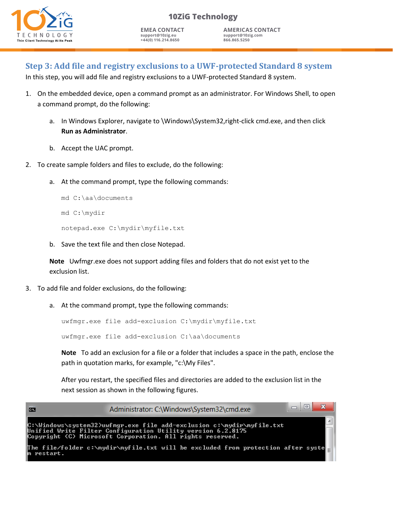

**EMEA CONTACT support@10zig.eu +44(0) 116.214.8650**

**AMERICAS CONTACT support@10zig.com 866.865.5250**

## **Step 3: Add file and registry exclusions to a UWF-protected Standard 8 system**

In this step, you will add file and registry exclusions to a UWF-protected Standard 8 system.

- 1. On the embedded device, open a command prompt as an administrator. For Windows Shell, to open a command prompt, do the following:
	- a. In Windows Explorer, navigate to \Windows\System32,right-click cmd.exe, and then click **Run as Administrator**.
	- b. Accept the UAC prompt.
- 2. To create sample folders and files to exclude, do the following:
	- a. At the command prompt, type the following commands:

```
md C:\aa\documents
md C:\mydir
notepad.exe C:\mydir\myfile.txt
```
b. Save the text file and then close Notepad.

**Note** Uwfmgr.exe does not support adding files and folders that do not exist yet to the exclusion list.

- 3. To add file and folder exclusions, do the following:
	- a. At the command prompt, type the following commands:

uwfmgr.exe file add-exclusion C:\mydir\myfile.txt

uwfmgr.exe file add-exclusion C:\aa\documents

**Note** To add an exclusion for a file or a folder that includes a space in the path, enclose the path in quotation marks, for example, "c:\My Files".

After you restart, the specified files and directories are added to the exclusion list in the next session as shown in the following figures.

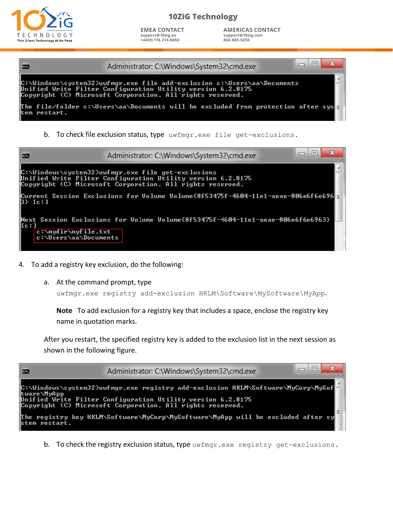

**EMEA CONTACT support@10zig.eu +44(0) 116.214.8650**

**AMERICAS CONTACT support@10zig.com 866.865.5250**



b. To check file exclusion status, type uwfmgr.exe file get-exclusions.



- 4. To add a registry key exclusion, do the following:
	- a. At the command prompt, type

```
uwfmgr.exe registry add-exclusion HKLM\Software\MySoftware\MyApp.
```
**Note** To add exclusion for a registry key that includes a space, enclose the registry key name in quotation marks.

After you restart, the specified registry key is added to the exclusion list in the next session as shown in the following figure.



b. To check the registry exclusion status, type uwfmgr.exe registry get-exclusions.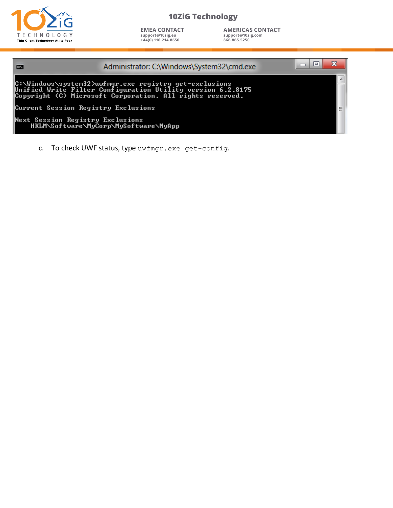

**EMEA CONTACT support@10zig.eu +44(0) 116.214.8650**

**AMERICAS CONTACT support@10zig.com 866.865.5250**

| $\overline{\mathbf{m}}$             | Administrator: C:\Windows\System32\cmd.exe                                                                                                                                         | l۰ | х |  |
|-------------------------------------|------------------------------------------------------------------------------------------------------------------------------------------------------------------------------------|----|---|--|
|                                     | C:\Windows\system32>uwfmgr.exe registry get-exclusions<br>Unified Write Filter Configuration Utility version 6.2.8175<br>Copyright (C) Microsoft Corporation. All rights reserved. |    |   |  |
| Current Session Registry Exclusions |                                                                                                                                                                                    |    |   |  |
| Next Session Registry Exclusions    | HKLM\Software\MyCorp\MySoftware\MyApp                                                                                                                                              |    |   |  |

c. To check UWF status, type uwfmgr.exe get-config.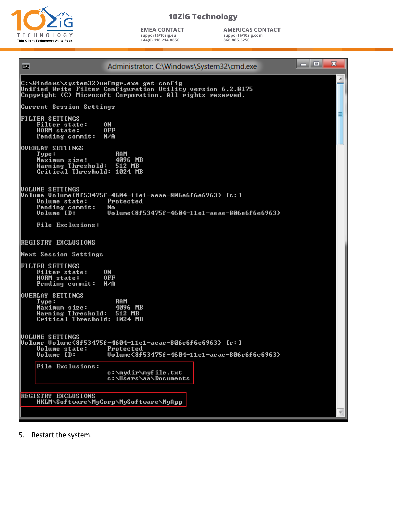

**EMEA CONTACT support@10zig.eu +44(0) 116.214.8650**

**AMERICAS CONTACT support@10zig.com 866.865.5250**



5. Restart the system.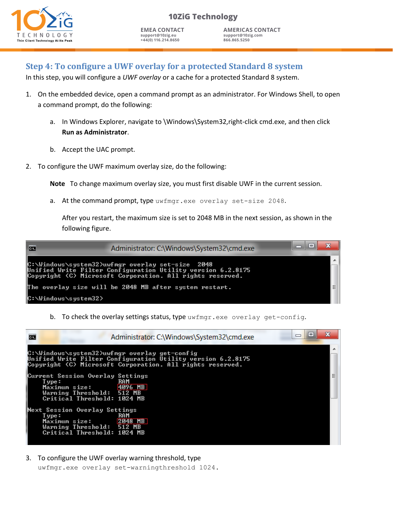

**EMEA CONTACT support@10zig.eu +44(0) 116.214.8650**

**AMERICAS CONTACT support@10zig.com 866.865.5250**

# **Step 4: To configure a UWF overlay for a protected Standard 8 system**

In this step, you will configure a *UWF overlay* or a cache for a protected Standard 8 system.

- 1. On the embedded device, open a command prompt as an administrator. For Windows Shell, to open a command prompt, do the following:
	- a. In Windows Explorer, navigate to \Windows\System32,right-click cmd.exe, and then click **Run as Administrator**.
	- b. Accept the UAC prompt.
- 2. To configure the UWF maximum overlay size, do the following:

**Note** To change maximum overlay size, you must first disable UWF in the current session.

a. At the command prompt, type uwfmgr.exe overlay set-size 2048.

After you restart, the maximum size is set to 2048 MB in the next session, as shown in the following figure.



b. To check the overlay settings status, type uwfmgr.exe overlay get-config.

| los. |                                                                                                                             | ⊫<br>$\Box$<br>Administrator: C:\Windows\System32\cmd.exe                                                                                                                 | х |
|------|-----------------------------------------------------------------------------------------------------------------------------|---------------------------------------------------------------------------------------------------------------------------------------------------------------------------|---|
|      |                                                                                                                             | C:\Windows\system32>uwfmgr_overlay_get-config<br>Unified Write Filter Configuration Utility version 6.2.8175<br>Copyright (C) Microsoft Corporation. All rights reserved. |   |
|      | Current Session Overlay Settings<br>Type:<br>Maximum size:<br>Warning Threshold: 512 MB<br>Critical Threshold: 1024 MB      | RAM<br>4096 MB                                                                                                                                                            |   |
|      | Next Session Overlay Settings<br>Type:<br>Maximum size: 2048 MB<br>Warning Threshold: 512 MB<br>Critical Threshold: 1024 MB | <b>RAM</b>                                                                                                                                                                |   |

3. To configure the UWF overlay warning threshold, type

uwfmgr.exe overlay set-warningthreshold 1024.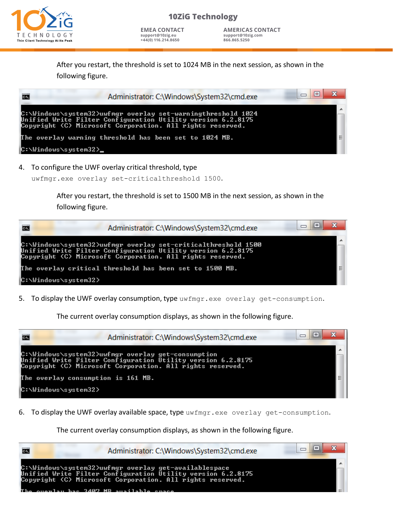

**AMERICAS CONTACT support@10zig.com 866.865.5250**

After you restart, the threshold is set to 1024 MB in the next session, as shown in the following figure.



4. To configure the UWF overlay critical threshold, type

uwfmgr.exe overlay set-criticalthreshold 1500.

After you restart, the threshold is set to 1500 MB in the next session, as shown in the following figure.



5. To display the UWF overlay consumption, type uwfmgr.exe overlay get-consumption.

The current overlay consumption displays, as shown in the following figure.



6. To display the UWF overlay available space, type uwfmgr.exe overlay get-consumption.

The current overlay consumption displays, as shown in the following figure.

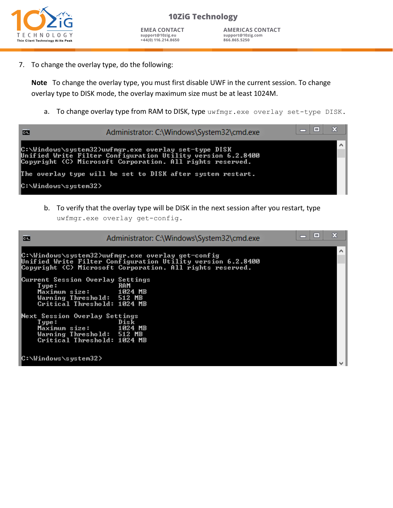

**AMERICAS CONTACT support@10zig.com 866.865.5250**

7. To change the overlay type, do the following:

**Note** To change the overlay type, you must first disable UWF in the current session. To change overlay type to DISK mode, the overlay maximum size must be at least 1024M.

a. To change overlay type from RAM to DISK, type uwfmgr.exe overlay set-type DISK.

| <b>CET</b>           | Administrator: C:\Windows\System32\cmd.exe                                                                                                                                        | $\mathbf{x}$ |
|----------------------|-----------------------------------------------------------------------------------------------------------------------------------------------------------------------------------|--------------|
|                      | C:\Windows\system32>uwfmgr.exe_overlay_set-type_DISK_<br>Unified Write Filter Configuration Utility version 6.2.8400<br>Copyright (C) Microsoft Corporation. All rights reserved. |              |
|                      | The overlay type will be set to DISK after system restart.                                                                                                                        |              |
| C:\Windows\system32> |                                                                                                                                                                                   |              |

b. To verify that the overlay type will be DISK in the next session after you restart, type uwfmgr.exe overlay get-config.

| lca.                                                                                                                     | Administrator: C:\Windows\System32\cmd.exe                                                                                                                                     | $\Box$ | Σ        |
|--------------------------------------------------------------------------------------------------------------------------|--------------------------------------------------------------------------------------------------------------------------------------------------------------------------------|--------|----------|
|                                                                                                                          | ∥C:\Windows\system32>uwfmgr.exe overlay get-config<br>Unified Write Filter Configuration Utility version 6.2.8400<br>Copyright (C) Microsoft Corporation. All rights reserved. |        | $\wedge$ |
| Current Session Overlay Settings<br>T ype :<br>Maximum size:<br>Warning Threshold: 512 MB<br>Critical Threshold: 1024 MB | <b>RAM</b><br>1024 MB                                                                                                                                                          |        |          |
| Next Session Overlay Settings<br>T ype :<br>Maximum size:<br>Warning Threshold: 512 MB<br>Critical Threshold: 1024 MB    | Disk<br>1024 MB                                                                                                                                                                |        |          |
| ∥C:\Windows\system32>                                                                                                    |                                                                                                                                                                                |        |          |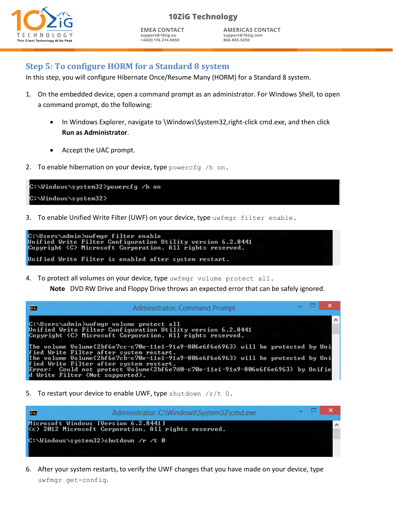

**EMEA CONTACT support@10zig.eu +44(0) 116.214.8650**

**AMERICAS CONTACT support@10zig.com 866.865.5250**

# **Step 5: To configure HORM for a Standard 8 system**

In this step, you will configure Hibernate Once/Resume Many (HORM) for a Standard 8 system.

- 1. On the embedded device, open a command prompt as an administrator. For Windows Shell, to open a command prompt, do the following:
	- In Windows Explorer, navigate to \Windows\System32,right-click cmd.exe, and then click **Run as Administrator**.
	- Accept the UAC prompt.
- 2. To enable hibernation on your device, type powercfg  $/h$  on.

C:\Windows\system32>powercfg /h on C:\Windows\system32>

3. To enable Unified Write Filter (UWF) on your device, type  $\text{uwrmap r filter}$  enable.

```
C:\Users\admin>uwfmgr filter enable<br>Unified Write Filter Configuration Utility version 6.2.8441
Copyright (C) Microsoft Corporation. All rights reserved.
Unified Write Filter is enabled after system restart.
```
4. To protect all volumes on your device, type uwfmgr volume protect all.

**Note** DVD RW Drive and Floppy Drive throws an expected error that can be safely ignored.

| ГÖ                                                                                 | <b>Administrator: Command Prompt</b>                                                                                                          |  | $   \times$ $-$ |
|------------------------------------------------------------------------------------|-----------------------------------------------------------------------------------------------------------------------------------------------|--|-----------------|
| C:\Users\admin>uwfmgr_volume_protect_all                                           | Unified Write Filter Configuration Utility version 6.2.8441                                                                                   |  | $\sim$          |
|                                                                                    | Copyright (C) Microsoft Corporation. All rights reserved.<br>The volume Volume{2bf6e7cc-c70e-11e1-91a9-806e6f6e6963} will be protected by Uni |  |                 |
| fied Write Filter after system restart.<br>fied Write Filter after system restart. | The volume Volume{2bf6e7cb-c70e-11e1-91a9-806e6f6e6963} will be protected by Uni                                                              |  |                 |
| d Write Filter (Not supported).                                                    | Error: Could not protect Volume(2bf6e7d0-c70e-11e1-91a9-806e6f6e6963) by Unifie                                                               |  |                 |

5. To restart your device to enable UWF, type shutdown  $/r/t = 0$ .



6. After your system restarts, to verify the UWF changes that you have made on your device, type uwfmgr get-config.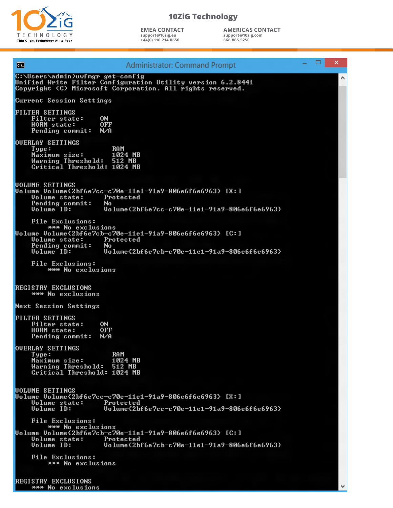

**EMEA CONTACT support@10zig.eu +44(0) 116.214.8650**

**AMERICAS CONTACT support@10zig.com 866.865.5250**

 $\boldsymbol{\mathsf{x}}$ ▭ **Administrator: Command Prompt** œ C:\Users\admin>uwfmgr get-config<br>Unified Write Filter Configuration Utility version 6.2.8441<br>Copyright (C) Microsoft Corporation. All rights reserved. ۸ **Current Session Settings FILTER SETTINGS** Filter state: **ON** HORM state: **OFF** Pending commit: N∕A **OUERLAY SETTINGS** Type:<br>Maximum size: **RAM** 1024 MB Warning Threshold: 512 MB<br>Critical Threshold: 1024 MB **UOLUME SETTINGS** Protected **Volume state: Pending commit:**<br>Volume ID: **No** Uolume<2bf6e7cc-c70e-11e1-91a9-806e6f6e6963> File Exclusions: Protected<br>No Uolume state: Pending commit:<br>Uolume ID: Uolume(2bf6e7cb-c70e-11e1-91a9-806e6f6e6963) File Exclusions: \*\*\* No exclusions REGISTRY EXCLUSIONS<br>EXTERN No exclusions **Next Session Settings FILTER SETTINGS** Filter state: **ON HORM** state: **OFF** Pending commit: N/A **OUERLAY SETTINGS**  $Type:$ **RAM** Maximum size: 1024 MB<br>Warning Threshold: 512 MB<br>Critical Threshold: 1024 MB **UOLUME SETTINGS** Volume Volume{2bf6e7cc-c70e-11e1-91a9-806e6f6e6963} [X:]<br>Uolume Volume state: Protected<br>Uolume ID: Uolume{2bf6e7cc-c70e-11e1-91a9-806 Uolume<2bf6e7cc-c70e-11e1-91a9-806e6f6e6963> File Exclusions:<br>Uolume Volume{2bf6e7cb-c70e-11e1-91a9-806e6f6e6963} [C:]<br>Uolume state: Protected<br>Uolume ID: Uolume{2bf6e7cb-c70e-11e1-91a9-806 File Exclusions: ume volume(25)<br>Uolume state:<br>Uolume ID: Uolume<2bf6e7cb-c70e-11e1-91a9-806e6f6e6963> File Exclusions: \*\*\* No exclusions

REGISTRY EXCLUSIONS \*\*\* No exclusions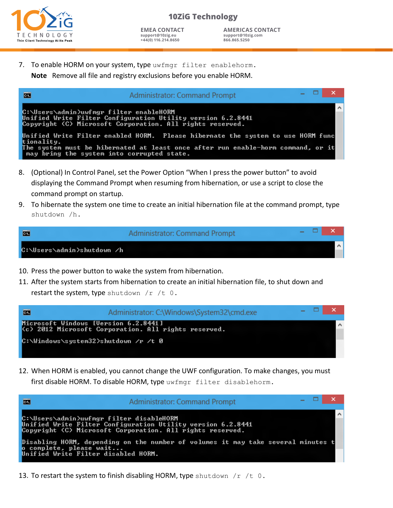

**AMERICAS CONTACT support@10zig.com 866.865.5250**

7. To enable HORM on your system, type uwfmgr filter enablehorm. **Note** Remove all file and registry exclusions before you enable HORM.

| <b>For</b>                                               | <b>Administrator: Command Prompt</b>                                                                                                                                 | $  \sqrt{2}$ |          |
|----------------------------------------------------------|----------------------------------------------------------------------------------------------------------------------------------------------------------------------|--------------|----------|
| C:\Users\admin>uwfmgr filter enableHORM                  | Unified Write Filter Configuration Utility version 6.2.8441<br>Copyright (C) Microsoft Corporation. All rights reserved.                                             |              | $\wedge$ |
| tionality.<br>nay bring the system into corrupted state. | Unified Write Filter enabled HORM.  Please hibernate the system to use HORM func<br>The system must be hibernated at least once after run enable-horm command, or it |              |          |

- 8. (Optional) In Control Panel, set the Power Option "When I press the power button" to avoid displaying the Command Prompt when resuming from hibernation, or use a script to close the command prompt on startup.
- 9. To hibernate the system one time to create an initial hibernation file at the command prompt, type shutdown /h.

| 画                          | <b>Administrator: Command Prompt</b> |  |  |
|----------------------------|--------------------------------------|--|--|
| C:∖Users∖admin>shutdown ∕h |                                      |  |  |

- 10. Press the power button to wake the system from hibernation.
- 11. After the system starts from hibernation to create an initial hibernation file, to shut down and restart the system, type shutdown  $/r /t 0$ .



12. When HORM is enabled, you cannot change the UWF configuration. To make changes, you must first disable HORM. To disable HORM, type uwfmgr filter disablehorm.



13. To restart the system to finish disabling HORM, type shutdown  $/r /t 0$ .